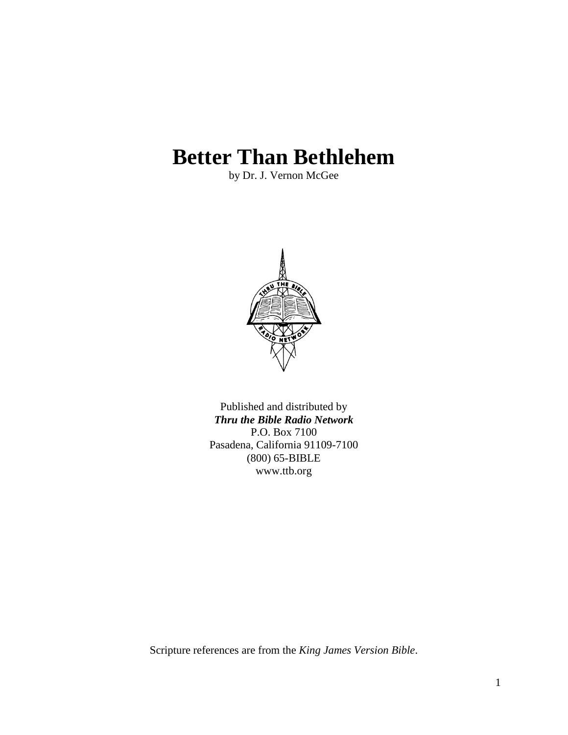# **Better Than Bethlehem**

by Dr. J. Vernon McGee



Published and distributed by *Thru the Bible Radio Network* P.O. Box 7100 Pasadena, California 91109-7100 (800) 65-BIBLE www.ttb.org

Scripture references are from the *King James Version Bible*.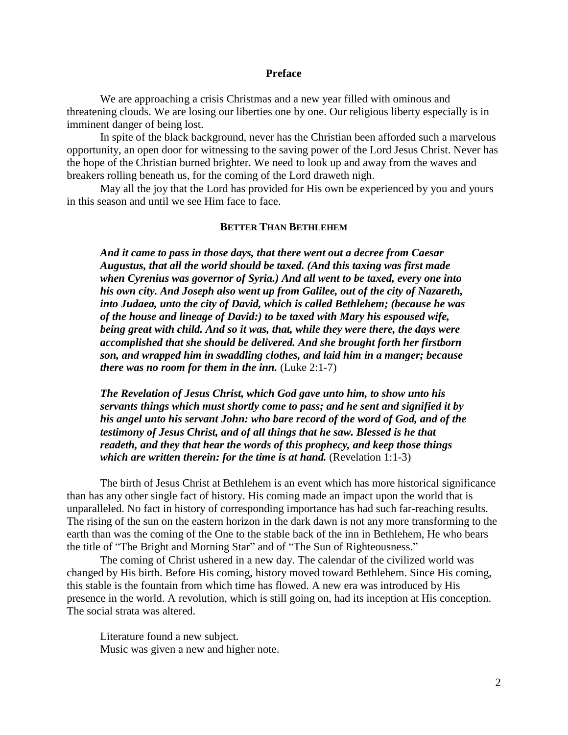#### **Preface**

We are approaching a crisis Christmas and a new year filled with ominous and threatening clouds. We are losing our liberties one by one. Our religious liberty especially is in imminent danger of being lost.

In spite of the black background, never has the Christian been afforded such a marvelous opportunity, an open door for witnessing to the saving power of the Lord Jesus Christ. Never has the hope of the Christian burned brighter. We need to look up and away from the waves and breakers rolling beneath us, for the coming of the Lord draweth nigh.

May all the joy that the Lord has provided for His own be experienced by you and yours in this season and until we see Him face to face.

### **BETTER THAN BETHLEHEM**

*And it came to pass in those days, that there went out a decree from Caesar Augustus, that all the world should be taxed. (And this taxing was first made when Cyrenius was governor of Syria.) And all went to be taxed, every one into his own city. And Joseph also went up from Galilee, out of the city of Nazareth, into Judaea, unto the city of David, which is called Bethlehem; (because he was of the house and lineage of David:) to be taxed with Mary his espoused wife, being great with child. And so it was, that, while they were there, the days were accomplished that she should be delivered. And she brought forth her firstborn son, and wrapped him in swaddling clothes, and laid him in a manger; because there was no room for them in the inn.* (Luke 2:1-7)

*The Revelation of Jesus Christ, which God gave unto him, to show unto his servants things which must shortly come to pass; and he sent and signified it by his angel unto his servant John: who bare record of the word of God, and of the testimony of Jesus Christ, and of all things that he saw. Blessed is he that readeth, and they that hear the words of this prophecy, and keep those things which are written therein: for the time is at hand.* (Revelation 1:1-3)

The birth of Jesus Christ at Bethlehem is an event which has more historical significance than has any other single fact of history. His coming made an impact upon the world that is unparalleled. No fact in history of corresponding importance has had such far-reaching results. The rising of the sun on the eastern horizon in the dark dawn is not any more transforming to the earth than was the coming of the One to the stable back of the inn in Bethlehem, He who bears the title of "The Bright and Morning Star" and of "The Sun of Righteousness."

The coming of Christ ushered in a new day. The calendar of the civilized world was changed by His birth. Before His coming, history moved toward Bethlehem. Since His coming, this stable is the fountain from which time has flowed. A new era was introduced by His presence in the world. A revolution, which is still going on, had its inception at His conception. The social strata was altered.

Literature found a new subject. Music was given a new and higher note.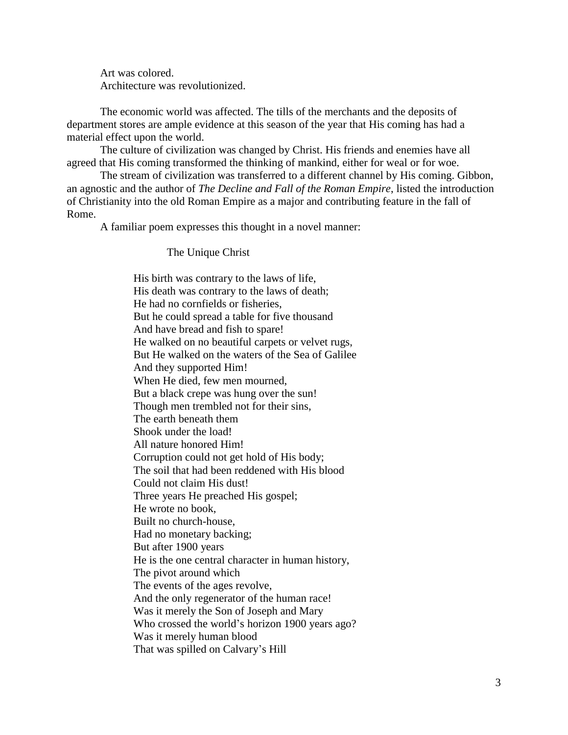Art was colored. Architecture was revolutionized.

The economic world was affected. The tills of the merchants and the deposits of department stores are ample evidence at this season of the year that His coming has had a material effect upon the world.

The culture of civilization was changed by Christ. His friends and enemies have all agreed that His coming transformed the thinking of mankind, either for weal or for woe.

The stream of civilization was transferred to a different channel by His coming. Gibbon, an agnostic and the author of *The Decline and Fall of the Roman Empire*, listed the introduction of Christianity into the old Roman Empire as a major and contributing feature in the fall of Rome.

A familiar poem expresses this thought in a novel manner:

The Unique Christ

His birth was contrary to the laws of life, His death was contrary to the laws of death; He had no cornfields or fisheries, But he could spread a table for five thousand And have bread and fish to spare! He walked on no beautiful carpets or velvet rugs, But He walked on the waters of the Sea of Galilee And they supported Him! When He died, few men mourned, But a black crepe was hung over the sun! Though men trembled not for their sins, The earth beneath them Shook under the load! All nature honored Him! Corruption could not get hold of His body; The soil that had been reddened with His blood Could not claim His dust! Three years He preached His gospel; He wrote no book, Built no church-house, Had no monetary backing; But after 1900 years He is the one central character in human history, The pivot around which The events of the ages revolve, And the only regenerator of the human race! Was it merely the Son of Joseph and Mary Who crossed the world's horizon 1900 years ago? Was it merely human blood That was spilled on Calvary's Hill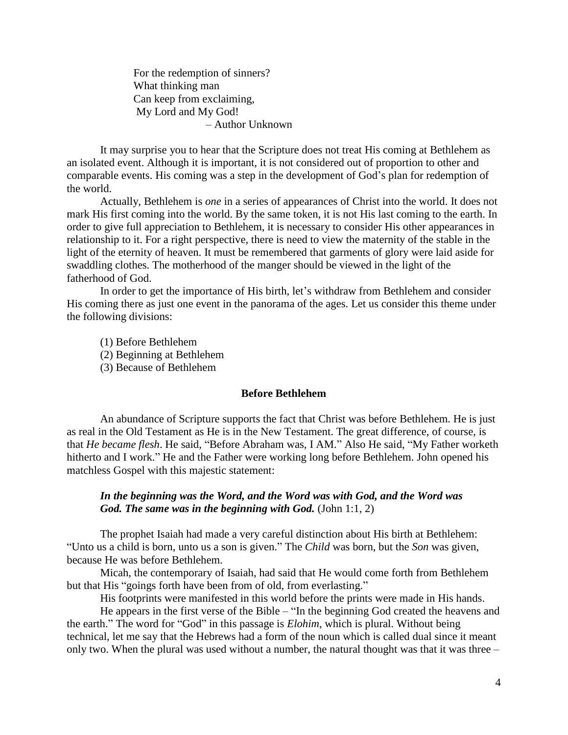For the redemption of sinners? What thinking man Can keep from exclaiming, My Lord and My God! – Author Unknown

It may surprise you to hear that the Scripture does not treat His coming at Bethlehem as an isolated event. Although it is important, it is not considered out of proportion to other and comparable events. His coming was a step in the development of God's plan for redemption of the world.

Actually, Bethlehem is *one* in a series of appearances of Christ into the world. It does not mark His first coming into the world. By the same token, it is not His last coming to the earth. In order to give full appreciation to Bethlehem, it is necessary to consider His other appearances in relationship to it. For a right perspective, there is need to view the maternity of the stable in the light of the eternity of heaven. It must be remembered that garments of glory were laid aside for swaddling clothes. The motherhood of the manger should be viewed in the light of the fatherhood of God.

In order to get the importance of His birth, let's withdraw from Bethlehem and consider His coming there as just one event in the panorama of the ages. Let us consider this theme under the following divisions:

(1) Before Bethlehem (2) Beginning at Bethlehem (3) Because of Bethlehem

#### **Before Bethlehem**

An abundance of Scripture supports the fact that Christ was before Bethlehem. He is just as real in the Old Testament as He is in the New Testament. The great difference, of course, is that *He became flesh*. He said, "Before Abraham was, I AM." Also He said, "My Father worketh hitherto and I work." He and the Father were working long before Bethlehem. John opened his matchless Gospel with this majestic statement:

### *In the beginning was the Word, and the Word was with God, and the Word was God. The same was in the beginning with God.* (John 1:1, 2)

The prophet Isaiah had made a very careful distinction about His birth at Bethlehem: "Unto us a child is born, unto us a son is given." The *Child* was born, but the *Son* was given, because He was before Bethlehem.

Micah, the contemporary of Isaiah, had said that He would come forth from Bethlehem but that His "goings forth have been from of old, from everlasting."

His footprints were manifested in this world before the prints were made in His hands.

He appears in the first verse of the Bible – "In the beginning God created the heavens and the earth." The word for "God" in this passage is *Elohim*, which is plural. Without being technical, let me say that the Hebrews had a form of the noun which is called dual since it meant only two. When the plural was used without a number, the natural thought was that it was three –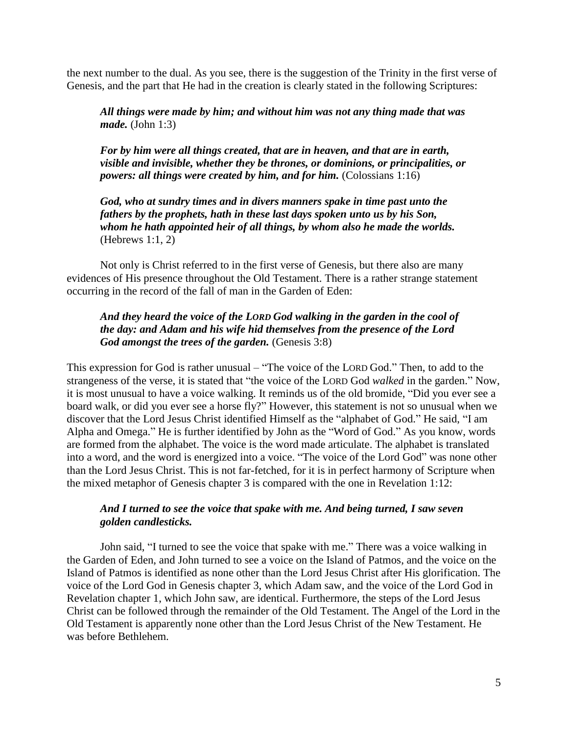the next number to the dual. As you see, there is the suggestion of the Trinity in the first verse of Genesis, and the part that He had in the creation is clearly stated in the following Scriptures:

*All things were made by him; and without him was not any thing made that was made.* (John 1:3)

*For by him were all things created, that are in heaven, and that are in earth, visible and invisible, whether they be thrones, or dominions, or principalities, or powers: all things were created by him, and for him.* (Colossians 1:16)

*God, who at sundry times and in divers manners spake in time past unto the fathers by the prophets, hath in these last days spoken unto us by his Son, whom he hath appointed heir of all things, by whom also he made the worlds.* (Hebrews 1:1, 2)

Not only is Christ referred to in the first verse of Genesis, but there also are many evidences of His presence throughout the Old Testament. There is a rather strange statement occurring in the record of the fall of man in the Garden of Eden:

# *And they heard the voice of the LORD God walking in the garden in the cool of the day: and Adam and his wife hid themselves from the presence of the Lord God amongst the trees of the garden.* (Genesis 3:8)

This expression for God is rather unusual – "The voice of the LORD God." Then, to add to the strangeness of the verse, it is stated that "the voice of the LORD God *walked* in the garden." Now, it is most unusual to have a voice walking. It reminds us of the old bromide, "Did you ever see a board walk, or did you ever see a horse fly?" However, this statement is not so unusual when we discover that the Lord Jesus Christ identified Himself as the "alphabet of God." He said, "I am Alpha and Omega." He is further identified by John as the "Word of God." As you know, words are formed from the alphabet. The voice is the word made articulate. The alphabet is translated into a word, and the word is energized into a voice. "The voice of the Lord God" was none other than the Lord Jesus Christ. This is not far-fetched, for it is in perfect harmony of Scripture when the mixed metaphor of Genesis chapter 3 is compared with the one in Revelation 1:12:

# *And I turned to see the voice that spake with me. And being turned, I saw seven golden candlesticks.*

John said, "I turned to see the voice that spake with me." There was a voice walking in the Garden of Eden, and John turned to see a voice on the Island of Patmos, and the voice on the Island of Patmos is identified as none other than the Lord Jesus Christ after His glorification. The voice of the Lord God in Genesis chapter 3, which Adam saw, and the voice of the Lord God in Revelation chapter 1, which John saw, are identical. Furthermore, the steps of the Lord Jesus Christ can be followed through the remainder of the Old Testament. The Angel of the Lord in the Old Testament is apparently none other than the Lord Jesus Christ of the New Testament. He was before Bethlehem.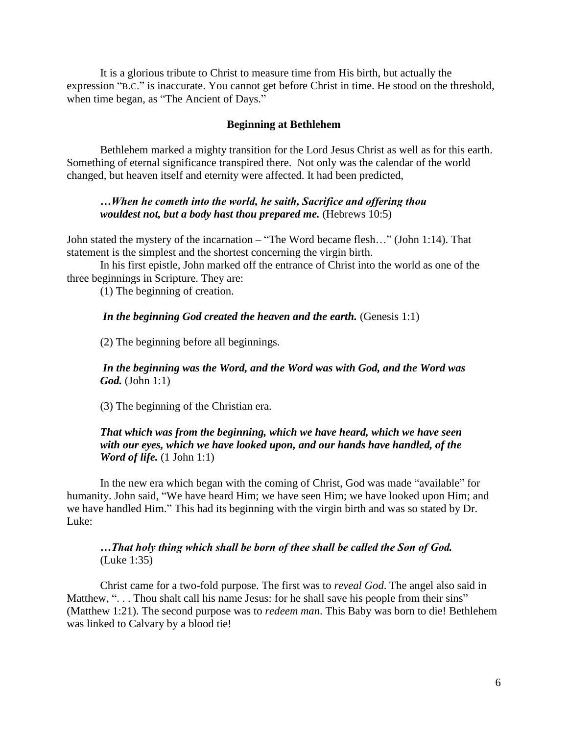It is a glorious tribute to Christ to measure time from His birth, but actually the expression "B.C." is inaccurate. You cannot get before Christ in time. He stood on the threshold, when time began, as "The Ancient of Days."

#### **Beginning at Bethlehem**

Bethlehem marked a mighty transition for the Lord Jesus Christ as well as for this earth. Something of eternal significance transpired there. Not only was the calendar of the world changed, but heaven itself and eternity were affected. It had been predicted,

# *…When he cometh into the world, he saith, Sacrifice and offering thou wouldest not, but a body hast thou prepared me.* (Hebrews 10:5)

John stated the mystery of the incarnation – "The Word became flesh…" (John 1:14). That statement is the simplest and the shortest concerning the virgin birth.

In his first epistle, John marked off the entrance of Christ into the world as one of the three beginnings in Scripture. They are:

(1) The beginning of creation.

#### *In the beginning God created the heaven and the earth.* (Genesis 1:1)

(2) The beginning before all beginnings.

# *In the beginning was the Word, and the Word was with God, and the Word was God.* (John 1:1)

(3) The beginning of the Christian era.

# *That which was from the beginning, which we have heard, which we have seen with our eyes, which we have looked upon, and our hands have handled, of the Word of life.* (1 John 1:1)

In the new era which began with the coming of Christ, God was made "available" for humanity. John said, "We have heard Him; we have seen Him; we have looked upon Him; and we have handled Him." This had its beginning with the virgin birth and was so stated by Dr. Luke:

# *…That holy thing which shall be born of thee shall be called the Son of God.* (Luke 1:35)

Christ came for a two-fold purpose. The first was to *reveal God*. The angel also said in Matthew, "... Thou shalt call his name Jesus: for he shall save his people from their sins" (Matthew 1:21). The second purpose was to *redeem man*. This Baby was born to die! Bethlehem was linked to Calvary by a blood tie!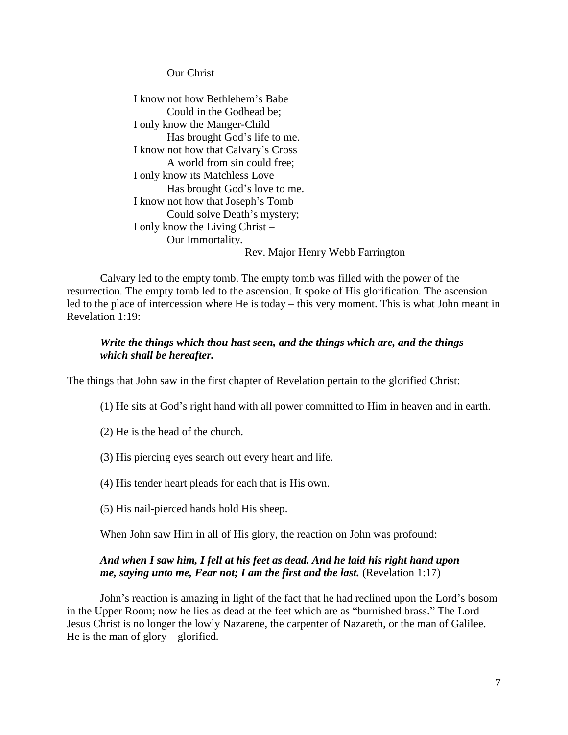Our Christ

I know not how Bethlehem's Babe Could in the Godhead be; I only know the Manger-Child Has brought God's life to me. I know not how that Calvary's Cross A world from sin could free; I only know its Matchless Love Has brought God's love to me. I know not how that Joseph's Tomb Could solve Death's mystery; I only know the Living Christ – Our Immortality. – Rev. Major Henry Webb Farrington

Calvary led to the empty tomb. The empty tomb was filled with the power of the resurrection. The empty tomb led to the ascension. It spoke of His glorification. The ascension led to the place of intercession where He is today – this very moment. This is what John meant in Revelation 1:19:

# *Write the things which thou hast seen, and the things which are, and the things which shall be hereafter.*

The things that John saw in the first chapter of Revelation pertain to the glorified Christ:

(1) He sits at God's right hand with all power committed to Him in heaven and in earth.

(2) He is the head of the church.

(3) His piercing eyes search out every heart and life.

(4) His tender heart pleads for each that is His own.

(5) His nail-pierced hands hold His sheep.

When John saw Him in all of His glory, the reaction on John was profound:

# *And when I saw him, I fell at his feet as dead. And he laid his right hand upon me, saying unto me, Fear not; I am the first and the last.* (Revelation 1:17)

John's reaction is amazing in light of the fact that he had reclined upon the Lord's bosom in the Upper Room; now he lies as dead at the feet which are as "burnished brass." The Lord Jesus Christ is no longer the lowly Nazarene, the carpenter of Nazareth, or the man of Galilee. He is the man of glory – glorified.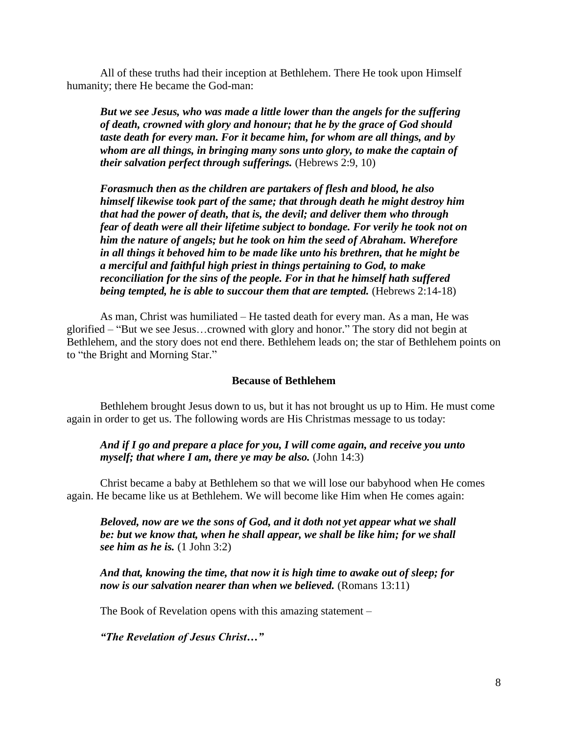All of these truths had their inception at Bethlehem. There He took upon Himself humanity; there He became the God-man:

*But we see Jesus, who was made a little lower than the angels for the suffering of death, crowned with glory and honour; that he by the grace of God should taste death for every man. For it became him, for whom are all things, and by whom are all things, in bringing many sons unto glory, to make the captain of their salvation perfect through sufferings.* (Hebrews 2:9, 10)

*Forasmuch then as the children are partakers of flesh and blood, he also himself likewise took part of the same; that through death he might destroy him that had the power of death, that is, the devil; and deliver them who through fear of death were all their lifetime subject to bondage. For verily he took not on him the nature of angels; but he took on him the seed of Abraham. Wherefore in all things it behoved him to be made like unto his brethren, that he might be a merciful and faithful high priest in things pertaining to God, to make reconciliation for the sins of the people. For in that he himself hath suffered being tempted, he is able to succour them that are tempted.* (Hebrews 2:14-18)

As man, Christ was humiliated – He tasted death for every man. As a man, He was glorified – "But we see Jesus…crowned with glory and honor." The story did not begin at Bethlehem, and the story does not end there. Bethlehem leads on; the star of Bethlehem points on to "the Bright and Morning Star."

#### **Because of Bethlehem**

Bethlehem brought Jesus down to us, but it has not brought us up to Him. He must come again in order to get us. The following words are His Christmas message to us today:

*And if I go and prepare a place for you, I will come again, and receive you unto myself; that where I am, there ye may be also.* (John 14:3)

Christ became a baby at Bethlehem so that we will lose our babyhood when He comes again. He became like us at Bethlehem. We will become like Him when He comes again:

*Beloved, now are we the sons of God, and it doth not yet appear what we shall be: but we know that, when he shall appear, we shall be like him; for we shall see him as he is.* (1 John 3:2)

*And that, knowing the time, that now it is high time to awake out of sleep; for now is our salvation nearer than when we believed.* (Romans 13:11)

The Book of Revelation opens with this amazing statement –

*"The Revelation of Jesus Christ…"*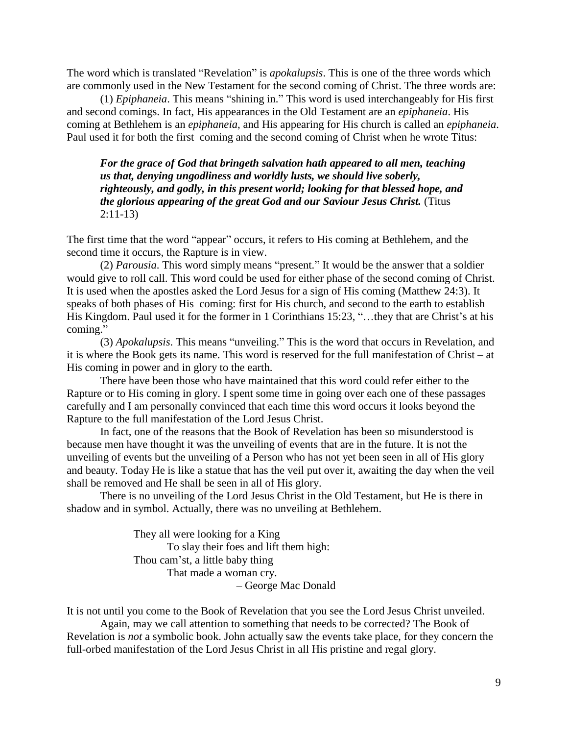The word which is translated "Revelation" is *apokalupsis*. This is one of the three words which are commonly used in the New Testament for the second coming of Christ. The three words are:

(1) *Epiphaneia*. This means "shining in." This word is used interchangeably for His first and second comings. In fact, His appearances in the Old Testament are an *epiphaneia*. His coming at Bethlehem is an *epiphaneia*, and His appearing for His church is called an *epiphaneia*. Paul used it for both the first coming and the second coming of Christ when he wrote Titus:

*For the grace of God that bringeth salvation hath appeared to all men, teaching us that, denying ungodliness and worldly lusts, we should live soberly, righteously, and godly, in this present world; looking for that blessed hope, and the glorious appearing of the great God and our Saviour Jesus Christ.* (Titus 2:11-13)

The first time that the word "appear" occurs, it refers to His coming at Bethlehem, and the second time it occurs, the Rapture is in view.

(2) *Parousia*. This word simply means "present." It would be the answer that a soldier would give to roll call. This word could be used for either phase of the second coming of Christ. It is used when the apostles asked the Lord Jesus for a sign of His coming (Matthew 24:3). It speaks of both phases of His coming: first for His church, and second to the earth to establish His Kingdom. Paul used it for the former in 1 Corinthians 15:23, "…they that are Christ's at his coming."

(3) *Apokalupsis*. This means "unveiling." This is the word that occurs in Revelation, and it is where the Book gets its name. This word is reserved for the full manifestation of Christ – at His coming in power and in glory to the earth.

There have been those who have maintained that this word could refer either to the Rapture or to His coming in glory. I spent some time in going over each one of these passages carefully and I am personally convinced that each time this word occurs it looks beyond the Rapture to the full manifestation of the Lord Jesus Christ.

In fact, one of the reasons that the Book of Revelation has been so misunderstood is because men have thought it was the unveiling of events that are in the future. It is not the unveiling of events but the unveiling of a Person who has not yet been seen in all of His glory and beauty. Today He is like a statue that has the veil put over it, awaiting the day when the veil shall be removed and He shall be seen in all of His glory.

There is no unveiling of the Lord Jesus Christ in the Old Testament, but He is there in shadow and in symbol. Actually, there was no unveiling at Bethlehem.

> They all were looking for a King To slay their foes and lift them high: Thou cam'st, a little baby thing That made a woman cry.

– George Mac Donald

It is not until you come to the Book of Revelation that you see the Lord Jesus Christ unveiled.

Again, may we call attention to something that needs to be corrected? The Book of Revelation is *not* a symbolic book. John actually saw the events take place, for they concern the full-orbed manifestation of the Lord Jesus Christ in all His pristine and regal glory.